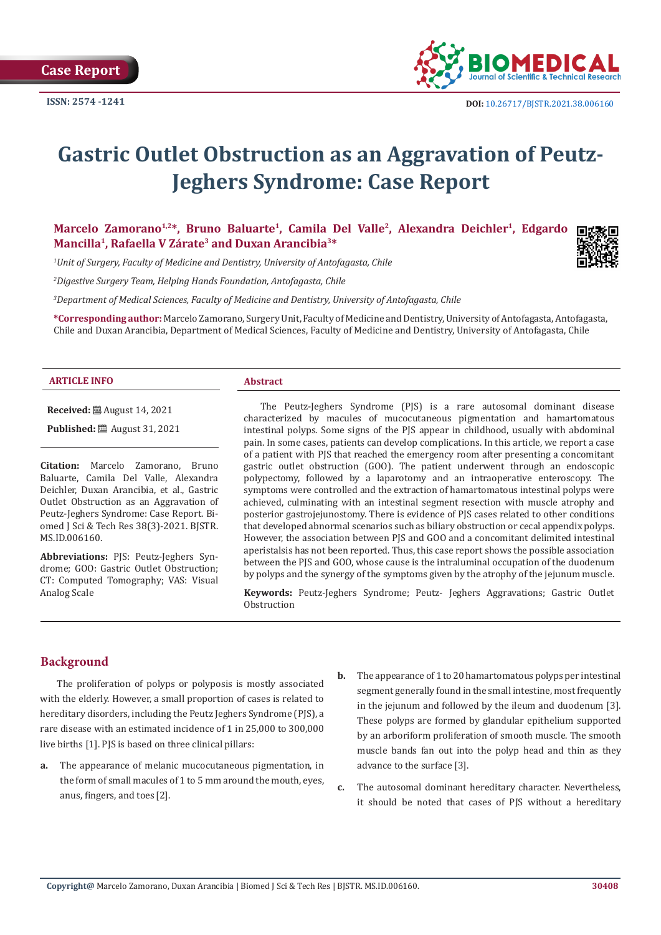

# **Gastric Outlet Obstruction as an Aggravation of Peutz-Jeghers Syndrome: Case Report**

Marcelo Zamorano<sup>1,2\*</sup>, Bruno Baluarte<sup>1</sup>, Camila Del Valle<sup>2</sup>, Alexandra Deichler<sup>1</sup>, Edgardo **Mancilla1, Rafaella V Zárate3 and Duxan Arancibia3\***

*1 Unit of Surgery, Faculty of Medicine and Dentistry, University of Antofagasta, Chile*

*2 Digestive Surgery Team, Helping Hands Foundation, Antofagasta, Chile*

*3 Department of Medical Sciences, Faculty of Medicine and Dentistry, University of Antofagasta, Chile*

**\*Corresponding author:** Marcelo Zamorano, Surgery Unit, Faculty of Medicine and Dentistry, University of Antofagasta, Antofagasta, Chile and Duxan Arancibia, Department of Medical Sciences, Faculty of Medicine and Dentistry, University of Antofagasta, Chile

#### **ARTICLE INFO Abstract**

**Received:** ■ August 14, 2021

**Published:** ■ August 31, 2021

**Citation:** Marcelo Zamorano, Bruno Baluarte, Camila Del Valle, Alexandra Deichler, Duxan Arancibia, et al., Gastric Outlet Obstruction as an Aggravation of Peutz-Jeghers Syndrome: Case Report. Biomed J Sci & Tech Res 38(3)-2021. BJSTR. MS.ID.006160.

**Abbreviations:** PJS: Peutz-Jeghers Syndrome; GOO: Gastric Outlet Obstruction; CT: Computed Tomography; VAS: Visual Analog Scale

The Peutz-Jeghers Syndrome (PJS) is a rare autosomal dominant disease characterized by macules of mucocutaneous pigmentation and hamartomatous intestinal polyps. Some signs of the PJS appear in childhood, usually with abdominal pain. In some cases, patients can develop complications. In this article, we report a case of a patient with PJS that reached the emergency room after presenting a concomitant gastric outlet obstruction (GOO). The patient underwent through an endoscopic polypectomy, followed by a laparotomy and an intraoperative enteroscopy. The symptoms were controlled and the extraction of hamartomatous intestinal polyps were achieved, culminating with an intestinal segment resection with muscle atrophy and posterior gastrojejunostomy. There is evidence of PJS cases related to other conditions that developed abnormal scenarios such as biliary obstruction or cecal appendix polyps. However, the association between PJS and GOO and a concomitant delimited intestinal aperistalsis has not been reported. Thus, this case report shows the possible association between the PJS and GOO, whose cause is the intraluminal occupation of the duodenum by polyps and the synergy of the symptoms given by the atrophy of the jejunum muscle.

**Keywords:** Peutz-Jeghers Syndrome; Peutz- Jeghers Aggravations; Gastric Outlet **Obstruction** 

# **Background**

The proliferation of polyps or polyposis is mostly associated with the elderly. However, a small proportion of cases is related to hereditary disorders, including the Peutz Jeghers Syndrome (PJS), a rare disease with an estimated incidence of 1 in 25,000 to 300,000 live births [1]. PJS is based on three clinical pillars:

- **a.** The appearance of melanic mucocutaneous pigmentation, in the form of small macules of 1 to 5 mm around the mouth, eyes, anus, fingers, and toes [2].
- **b.** The appearance of 1 to 20 hamartomatous polyps per intestinal segment generally found in the small intestine, most frequently in the jejunum and followed by the ileum and duodenum [3]. These polyps are formed by glandular epithelium supported by an arboriform proliferation of smooth muscle. The smooth muscle bands fan out into the polyp head and thin as they advance to the surface [3].
- **c.** The autosomal dominant hereditary character. Nevertheless, it should be noted that cases of PJS without a hereditary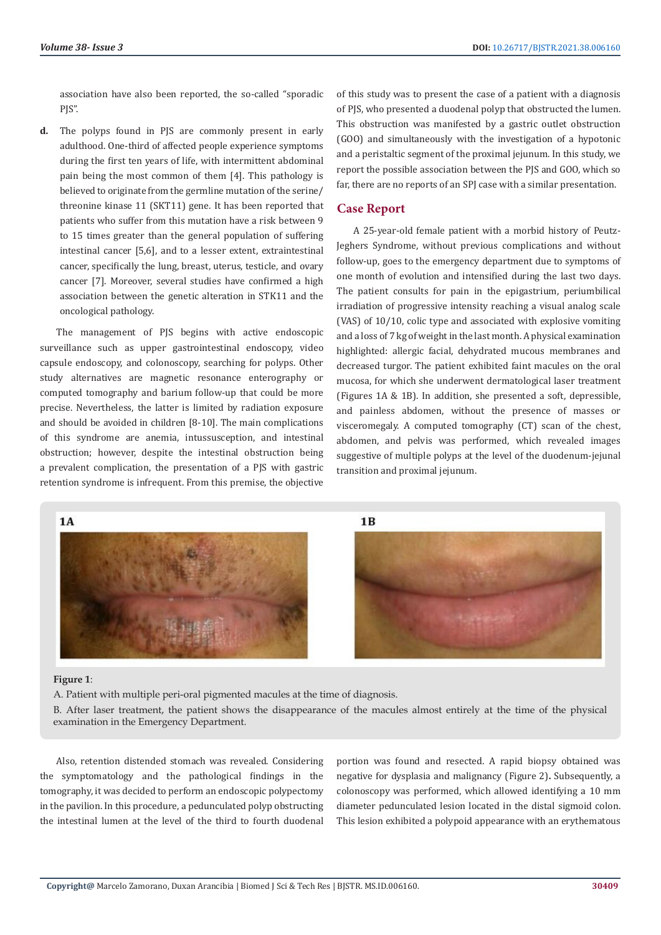association have also been reported, the so-called "sporadic PJS".

**d.** The polyps found in PJS are commonly present in early adulthood. One-third of affected people experience symptoms during the first ten years of life, with intermittent abdominal pain being the most common of them [4]. This pathology is believed to originate from the germline mutation of the serine/ threonine kinase 11 (SKT11) gene. It has been reported that patients who suffer from this mutation have a risk between 9 to 15 times greater than the general population of suffering intestinal cancer [5,6], and to a lesser extent, extraintestinal cancer, specifically the lung, breast, uterus, testicle, and ovary cancer [7]. Moreover, several studies have confirmed a high association between the genetic alteration in STK11 and the oncological pathology.

The management of PJS begins with active endoscopic surveillance such as upper gastrointestinal endoscopy, video capsule endoscopy, and colonoscopy, searching for polyps. Other study alternatives are magnetic resonance enterography or computed tomography and barium follow-up that could be more precise. Nevertheless, the latter is limited by radiation exposure and should be avoided in children [8-10]. The main complications of this syndrome are anemia, intussusception, and intestinal obstruction; however, despite the intestinal obstruction being a prevalent complication, the presentation of a PJS with gastric retention syndrome is infrequent. From this premise, the objective

of this study was to present the case of a patient with a diagnosis of PJS, who presented a duodenal polyp that obstructed the lumen. This obstruction was manifested by a gastric outlet obstruction (GOO) and simultaneously with the investigation of a hypotonic and a peristaltic segment of the proximal jejunum. In this study, we report the possible association between the PJS and GOO, which so far, there are no reports of an SPI case with a similar presentation.

### **Case Report**

A 25-year-old female patient with a morbid history of Peutz-Jeghers Syndrome, without previous complications and without follow-up, goes to the emergency department due to symptoms of one month of evolution and intensified during the last two days. The patient consults for pain in the epigastrium, periumbilical irradiation of progressive intensity reaching a visual analog scale (VAS) of 10/10, colic type and associated with explosive vomiting and a loss of 7 kg of weight in the last month. A physical examination highlighted: allergic facial, dehydrated mucous membranes and decreased turgor. The patient exhibited faint macules on the oral mucosa, for which she underwent dermatological laser treatment (Figures 1A & 1B). In addition, she presented a soft, depressible, and painless abdomen, without the presence of masses or visceromegaly. A computed tomography (CT) scan of the chest, abdomen, and pelvis was performed, which revealed images suggestive of multiple polyps at the level of the duodenum-jejunal transition and proximal jejunum.



#### **Figure 1**:

A. Patient with multiple peri-oral pigmented macules at the time of diagnosis.

B. After laser treatment, the patient shows the disappearance of the macules almost entirely at the time of the physical examination in the Emergency Department.

Also, retention distended stomach was revealed. Considering the symptomatology and the pathological findings in the tomography, it was decided to perform an endoscopic polypectomy in the pavilion. In this procedure, a pedunculated polyp obstructing the intestinal lumen at the level of the third to fourth duodenal

portion was found and resected. A rapid biopsy obtained was negative for dysplasia and malignancy (Figure 2)**.** Subsequently, a colonoscopy was performed, which allowed identifying a 10 mm diameter pedunculated lesion located in the distal sigmoid colon. This lesion exhibited a polypoid appearance with an erythematous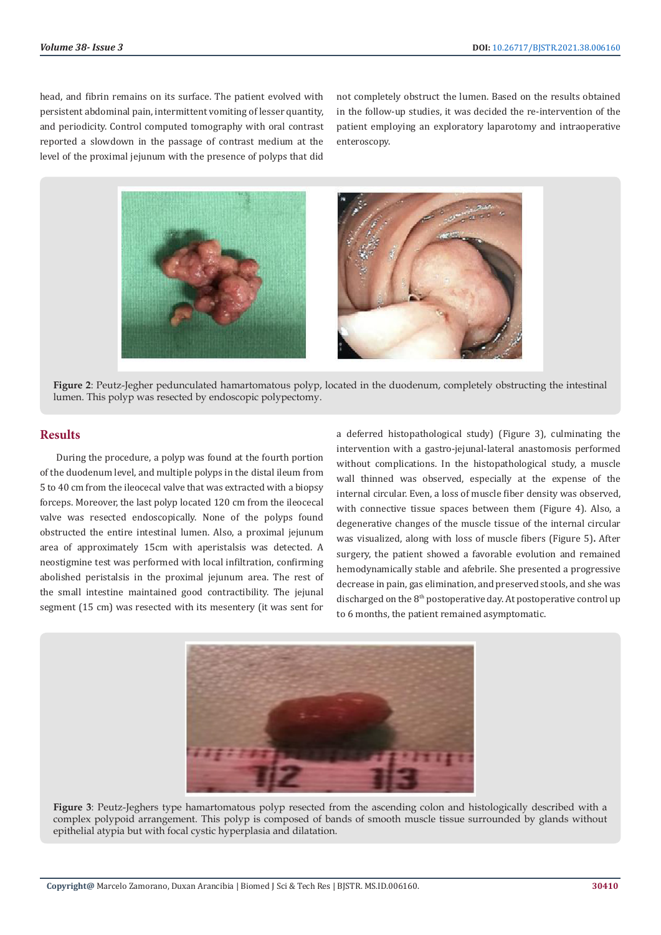head, and fibrin remains on its surface. The patient evolved with persistent abdominal pain, intermittent vomiting of lesser quantity, and periodicity. Control computed tomography with oral contrast reported a slowdown in the passage of contrast medium at the level of the proximal jejunum with the presence of polyps that did

not completely obstruct the lumen. Based on the results obtained in the follow-up studies, it was decided the re-intervention of the patient employing an exploratory laparotomy and intraoperative enteroscopy.



**Figure 2**: Peutz-Jegher pedunculated hamartomatous polyp, located in the duodenum, completely obstructing the intestinal lumen. This polyp was resected by endoscopic polypectomy.

# **Results**

During the procedure, a polyp was found at the fourth portion of the duodenum level, and multiple polyps in the distal ileum from 5 to 40 cm from the ileocecal valve that was extracted with a biopsy forceps. Moreover, the last polyp located 120 cm from the ileocecal valve was resected endoscopically. None of the polyps found obstructed the entire intestinal lumen. Also, a proximal jejunum area of approximately 15cm with aperistalsis was detected. A neostigmine test was performed with local infiltration, confirming abolished peristalsis in the proximal jejunum area. The rest of the small intestine maintained good contractibility. The jejunal segment (15 cm) was resected with its mesentery (it was sent for

a deferred histopathological study) (Figure 3), culminating the intervention with a gastro-jejunal-lateral anastomosis performed without complications. In the histopathological study, a muscle wall thinned was observed, especially at the expense of the internal circular. Even, a loss of muscle fiber density was observed, with connective tissue spaces between them (Figure 4). Also, a degenerative changes of the muscle tissue of the internal circular was visualized, along with loss of muscle fibers (Figure 5)**.** After surgery, the patient showed a favorable evolution and remained hemodynamically stable and afebrile. She presented a progressive decrease in pain, gas elimination, and preserved stools, and she was discharged on the  $8<sup>th</sup>$  postoperative day. At postoperative control up to 6 months, the patient remained asymptomatic.



**Figure 3**: Peutz-Jeghers type hamartomatous polyp resected from the ascending colon and histologically described with a complex polypoid arrangement. This polyp is composed of bands of smooth muscle tissue surrounded by glands without epithelial atypia but with focal cystic hyperplasia and dilatation.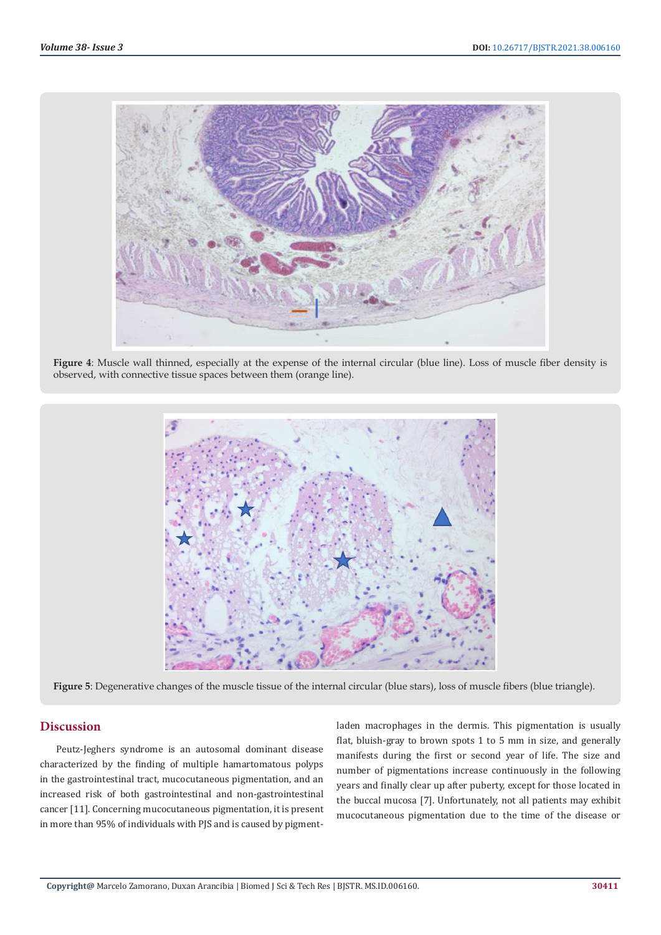

**Figure 4**: Muscle wall thinned, especially at the expense of the internal circular (blue line). Loss of muscle fiber density is observed, with connective tissue spaces between them (orange line).



**Figure 5**: Degenerative changes of the muscle tissue of the internal circular (blue stars), loss of muscle fibers (blue triangle).

# **Discussion**

Peutz-Jeghers syndrome is an autosomal dominant disease characterized by the finding of multiple hamartomatous polyps in the gastrointestinal tract, mucocutaneous pigmentation, and an increased risk of both gastrointestinal and non-gastrointestinal cancer [11]. Concerning mucocutaneous pigmentation, it is present in more than 95% of individuals with PJS and is caused by pigmentladen macrophages in the dermis. This pigmentation is usually flat, bluish-gray to brown spots 1 to 5 mm in size, and generally manifests during the first or second year of life. The size and number of pigmentations increase continuously in the following years and finally clear up after puberty, except for those located in the buccal mucosa [7]. Unfortunately, not all patients may exhibit mucocutaneous pigmentation due to the time of the disease or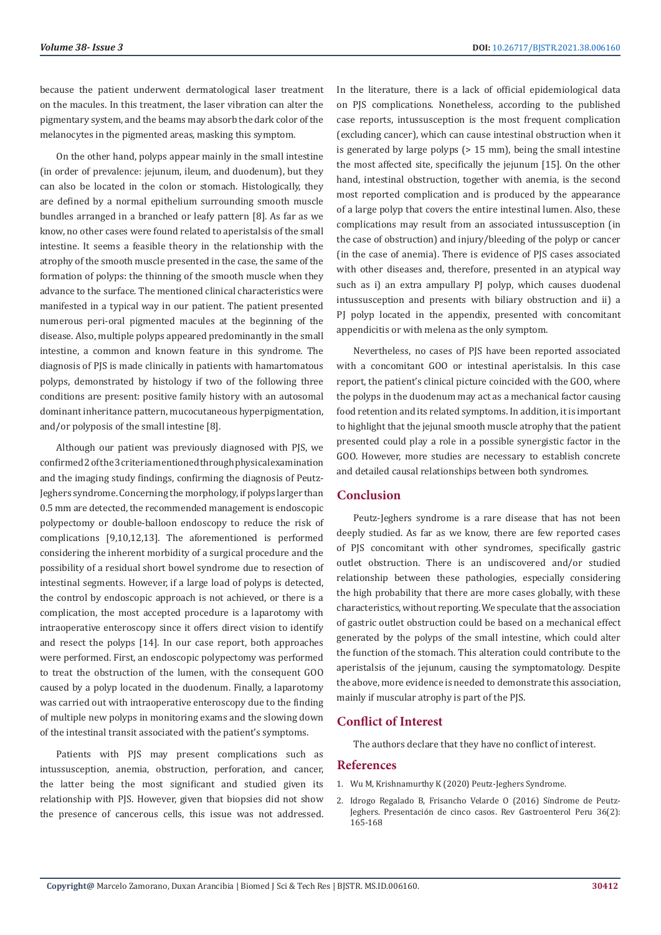because the patient underwent dermatological laser treatment on the macules. In this treatment, the laser vibration can alter the pigmentary system, and the beams may absorb the dark color of the melanocytes in the pigmented areas, masking this symptom.

On the other hand, polyps appear mainly in the small intestine (in order of prevalence: jejunum, ileum, and duodenum), but they can also be located in the colon or stomach. Histologically, they are defined by a normal epithelium surrounding smooth muscle bundles arranged in a branched or leafy pattern [8]. As far as we know, no other cases were found related to aperistalsis of the small intestine. It seems a feasible theory in the relationship with the atrophy of the smooth muscle presented in the case, the same of the formation of polyps: the thinning of the smooth muscle when they advance to the surface. The mentioned clinical characteristics were manifested in a typical way in our patient. The patient presented numerous peri-oral pigmented macules at the beginning of the disease. Also, multiple polyps appeared predominantly in the small intestine, a common and known feature in this syndrome. The diagnosis of PJS is made clinically in patients with hamartomatous polyps, demonstrated by histology if two of the following three conditions are present: positive family history with an autosomal dominant inheritance pattern, mucocutaneous hyperpigmentation, and/or polyposis of the small intestine [8].

Although our patient was previously diagnosed with PJS, we confirmed 2 of the 3 criteria mentioned through physical examination and the imaging study findings, confirming the diagnosis of Peutz-Jeghers syndrome. Concerning the morphology, if polyps larger than 0.5 mm are detected, the recommended management is endoscopic polypectomy or double-balloon endoscopy to reduce the risk of complications [9,10,12,13]. The aforementioned is performed considering the inherent morbidity of a surgical procedure and the possibility of a residual short bowel syndrome due to resection of intestinal segments. However, if a large load of polyps is detected, the control by endoscopic approach is not achieved, or there is a complication, the most accepted procedure is a laparotomy with intraoperative enteroscopy since it offers direct vision to identify and resect the polyps [14]. In our case report, both approaches were performed. First, an endoscopic polypectomy was performed to treat the obstruction of the lumen, with the consequent GOO caused by a polyp located in the duodenum. Finally, a laparotomy was carried out with intraoperative enteroscopy due to the finding of multiple new polyps in monitoring exams and the slowing down of the intestinal transit associated with the patient's symptoms.

Patients with PJS may present complications such as intussusception, anemia, obstruction, perforation, and cancer, the latter being the most significant and studied given its relationship with PJS. However, given that biopsies did not show the presence of cancerous cells, this issue was not addressed. In the literature, there is a lack of official epidemiological data on PJS complications. Nonetheless, according to the published case reports, intussusception is the most frequent complication (excluding cancer), which can cause intestinal obstruction when it is generated by large polyps (> 15 mm), being the small intestine the most affected site, specifically the jejunum [15]. On the other hand, intestinal obstruction, together with anemia, is the second most reported complication and is produced by the appearance of a large polyp that covers the entire intestinal lumen. Also, these complications may result from an associated intussusception (in the case of obstruction) and injury/bleeding of the polyp or cancer (in the case of anemia). There is evidence of PJS cases associated with other diseases and, therefore, presented in an atypical way such as i) an extra ampullary PJ polyp, which causes duodenal intussusception and presents with biliary obstruction and ii) a PJ polyp located in the appendix, presented with concomitant appendicitis or with melena as the only symptom.

Nevertheless, no cases of PJS have been reported associated with a concomitant GOO or intestinal aperistalsis. In this case report, the patient's clinical picture coincided with the GOO, where the polyps in the duodenum may act as a mechanical factor causing food retention and its related symptoms. In addition, it is important to highlight that the jejunal smooth muscle atrophy that the patient presented could play a role in a possible synergistic factor in the GOO. However, more studies are necessary to establish concrete and detailed causal relationships between both syndromes.

#### **Conclusion**

Peutz-Jeghers syndrome is a rare disease that has not been deeply studied. As far as we know, there are few reported cases of PJS concomitant with other syndromes, specifically gastric outlet obstruction. There is an undiscovered and/or studied relationship between these pathologies, especially considering the high probability that there are more cases globally, with these characteristics, without reporting. We speculate that the association of gastric outlet obstruction could be based on a mechanical effect generated by the polyps of the small intestine, which could alter the function of the stomach. This alteration could contribute to the aperistalsis of the jejunum, causing the symptomatology. Despite the above, more evidence is needed to demonstrate this association, mainly if muscular atrophy is part of the PJS.

# **Conflict of Interest**

The authors declare that they have no conflict of interest.

#### **References**

- 1. [Wu M, Krishnamurthy K \(2020\) Peutz-Jeghers Syndrome.](https://www.ncbi.nlm.nih.gov/books/NBK535357/)
- 2. [Idrogo Regalado B, Frisancho Velarde O \(2016\) S](https://pubmed.ncbi.nlm.nih.gov/27409094/)índrome de Peutz-Jeghers. Presentació[n de cinco casos. Rev Gastroenterol Peru 36\(2\):](https://pubmed.ncbi.nlm.nih.gov/27409094/) [165-168](https://pubmed.ncbi.nlm.nih.gov/27409094/)